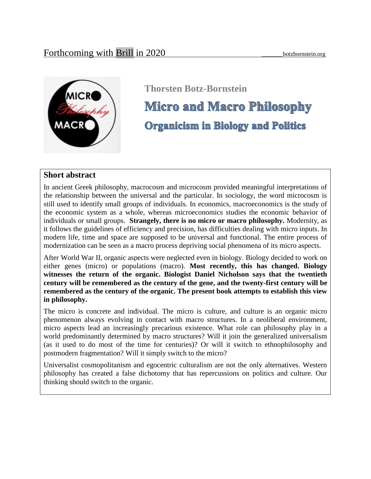

# **Thorsten Botz-BornsteinMicro and Macro Philosophy Organicism in Biology and Politics**

# **Short abstract**

In ancient Greek philosophy, macrocosm and microcosm provided meaningful interpretations of the relationship between the universal and the particular. In sociology, the word microcosm is still used to identify small groups of individuals. In economics, macroeconomics is the study of the economic system as a whole, whereas microeconomics studies the economic behavior of individuals or small groups. **Strangely, there is no micro or macro philosophy.** Modernity, as it follows the guidelines of efficiency and precision, has difficulties dealing with micro inputs. In modern life, time and space are supposed to be universal and functional. The entire process of modernization can be seen as a macro process depriving social phenomena of its micro aspects.

After World War II, organic aspects were neglected even in biology. Biology decided to work on either genes (micro) or populations (macro). **Most recently, this has changed. Biology witnesses the return of the organic. Biologist Daniel Nicholson says that the twentieth century will be remembered as the century of the gene, and the twenty-first century will be remembered as the century of the organic. The present book attempts to establish this view in philosophy.**

The micro is concrete and individual. The micro is culture, and culture is an organic micro phenomenon always evolving in contact with macro structures. In a neoliberal environment, micro aspects lead an increasingly precarious existence. What role can philosophy play in a world predominantly determined by macro structures? Will it join the generalized universalism (as it used to do most of the time for centuries)? Or will it switch to ethnophilosophy and postmodern fragmentation? Will it simply switch to the micro?

Universalist cosmopolitanism and egocentric culturalism are not the only alternatives. Western philosophy has created a false dichotomy that has repercussions on politics and culture. Our thinking should switch to the organic.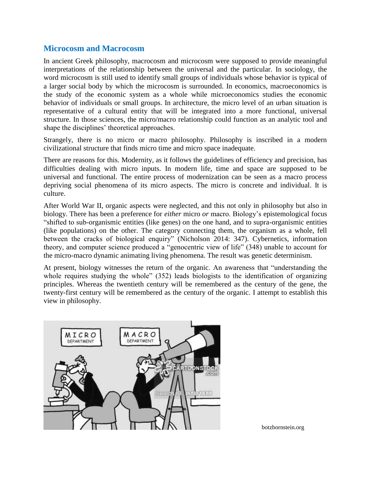## **Microcosm and Macrocosm**

In ancient Greek philosophy, macrocosm and microcosm were supposed to provide meaningful interpretations of the relationship between the universal and the particular. In sociology, the word microcosm is still used to identify small groups of individuals whose behavior is typical of a larger social body by which the microcosm is surrounded. In economics, macroeconomics is the study of the economic system as a whole while microeconomics studies the economic behavior of individuals or small groups. In architecture, the micro level of an urban situation is representative of a cultural entity that will be integrated into a more functional, universal structure. In those sciences, the micro/macro relationship could function as an analytic tool and shape the disciplines' theoretical approaches.

Strangely, there is no micro or macro philosophy. Philosophy is inscribed in a modern civilizational structure that finds micro time and micro space inadequate.

There are reasons for this. Modernity, as it follows the guidelines of efficiency and precision, has difficulties dealing with micro inputs. In modern life, time and space are supposed to be universal and functional. The entire process of modernization can be seen as a macro process depriving social phenomena of its micro aspects. The micro is concrete and individual. It is culture.

After World War II, organic aspects were neglected, and this not only in philosophy but also in biology. There has been a preference for *either* micro *or* macro. Biology's epistemological focus "shifted to sub-organismic entities (like genes) on the one hand, and to supra-organismic entities (like populations) on the other. The category connecting them, the organism as a whole, fell between the cracks of biological enquiry" (Nicholson 2014: 347). Cybernetics, information theory, and computer science produced a "genocentric view of life" (348) unable to account for the micro-macro dynamic animating living phenomena. The result was genetic determinism.

At present, biology witnesses the return of the organic. An awareness that "understanding the whole requires studying the whole" (352) leads biologists to the identification of organizing principles. Whereas the twentieth century will be remembered as the century of the gene, the twenty-first century will be remembered as the century of the organic. I attempt to establish this view in philosophy.



botzbornstein.org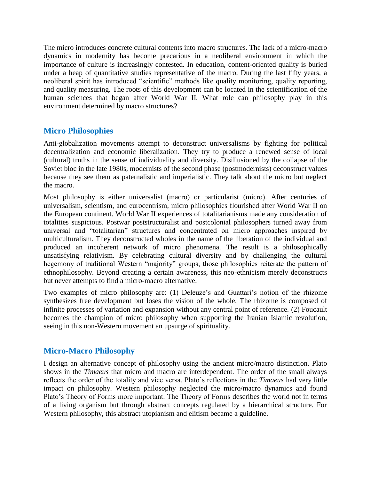The micro introduces concrete cultural contents into macro structures. The lack of a micro-macro dynamics in modernity has become precarious in a neoliberal environment in which the importance of culture is increasingly contested. In education, content-oriented quality is buried under a heap of quantitative studies representative of the macro. During the last fifty years, a neoliberal spirit has introduced "scientific" methods like quality monitoring, quality reporting, and quality measuring. The roots of this development can be located in the scientification of the human sciences that began after World War II. What role can philosophy play in this environment determined by macro structures?

# **Micro Philosophies**

Anti-globalization movements attempt to deconstruct universalisms by fighting for political decentralization and economic liberalization. They try to produce a renewed sense of local (cultural) truths in the sense of individuality and diversity. Disillusioned by the collapse of the Soviet bloc in the late 1980s, modernists of the second phase (postmodernists) deconstruct values because they see them as paternalistic and imperialistic. They talk about the micro but neglect the macro.

Most philosophy is either universalist (macro) or particularist (micro). After centuries of universalism, scientism, and eurocentrism, micro philosophies flourished after World War II on the European continent. World War II experiences of totalitarianisms made any consideration of totalities suspicious. Postwar poststructuralist and postcolonial philosophers turned away from universal and "totalitarian" structures and concentrated on micro approaches inspired by multiculturalism. They deconstructed wholes in the name of the liberation of the individual and produced an incoherent network of micro phenomena. The result is a philosophically unsatisfying relativism. By celebrating cultural diversity and by challenging the cultural hegemony of traditional Western "majority" groups, those philosophies reiterate the pattern of ethnophilosophy. Beyond creating a certain awareness, this neo-ethnicism merely deconstructs but never attempts to find a micro-macro alternative.

Two examples of micro philosophy are: (1) Deleuze's and Guattari's notion of the rhizome synthesizes free development but loses the vision of the whole. The rhizome is composed of infinite processes of variation and expansion without any central point of reference. (2) Foucault becomes the champion of micro philosophy when supporting the Iranian Islamic revolution, seeing in this non-Western movement an upsurge of spirituality.

# **Micro-Macro Philosophy**

I design an alternative concept of philosophy using the ancient micro/macro distinction. Plato shows in the *Timaeus* that micro and macro are interdependent. The order of the small always reflects the order of the totality and vice versa. Plato's reflections in the *Timaeus* had very little impact on philosophy. Western philosophy neglected the micro/macro dynamics and found Plato's Theory of Forms more important. The Theory of Forms describes the world not in terms of a living organism but through abstract concepts regulated by a hierarchical structure. For Western philosophy, this abstract utopianism and elitism became a guideline.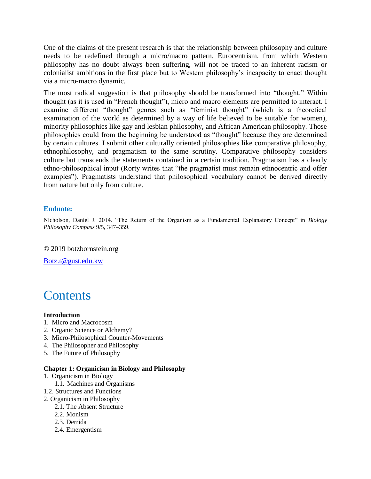One of the claims of the present research is that the relationship between philosophy and culture needs to be redefined through a micro/macro pattern. Eurocentrism, from which Western philosophy has no doubt always been suffering, will not be traced to an inherent racism or colonialist ambitions in the first place but to Western philosophy's incapacity to enact thought via a micro-macro dynamic.

The most radical suggestion is that philosophy should be transformed into "thought." Within thought (as it is used in "French thought"), micro and macro elements are permitted to interact. I examine different "thought" genres such as "feminist thought" (which is a theoretical examination of the world as determined by a way of life believed to be suitable for women), minority philosophies like gay and lesbian philosophy, and African American philosophy. Those philosophies could from the beginning be understood as "thought" because they are determined by certain cultures. I submit other culturally oriented philosophies like comparative philosophy, ethnophilosophy, and pragmatism to the same scrutiny. Comparative philosophy considers culture but transcends the statements contained in a certain tradition. Pragmatism has a clearly ethno-philosophical input (Rorty writes that "the pragmatist must remain ethnocentric and offer examples"). Pragmatists understand that philosophical vocabulary cannot be derived directly from nature but only from culture.

## **Endnote:**

Nicholson, Daniel J. 2014. "The Return of the Organism as a Fundamental Explanatory Concept" in *Biology Philosophy Compass* 9/5, 347–359.

© 2019 botzbornstein.org

[Botz.t@gust.edu.kw](mailto:Botz.t@gust.edu.kw)



#### **Introduction**

- 1. Micro and Macrocosm
- 2. Organic Science or Alchemy?
- 3. Micro-Philosophical Counter-Movements
- 4. The Philosopher and Philosophy
- 5. The Future of Philosophy

#### **Chapter 1: Organicism in Biology and Philosophy**

- 1. Organicism in Biology
	- 1.1. Machines and Organisms
- 1.2. Structures and Functions
- 2. Organicism in Philosophy
	- 2.1. The Absent Structure
		- 2.2. Monism
		- 2.3. Derrida
	- 2.4. Emergentism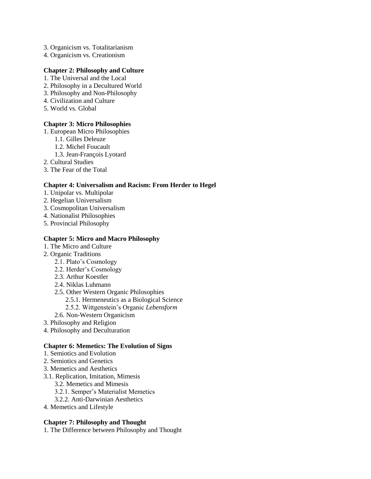- 3. Organicism vs. Totalitarianism
- 4. Organicism vs. Creationism

#### **Chapter 2: Philosophy and Culture**

- 1. The Universal and the Local
- 2. Philosophy in a Decultured World
- 3. Philosophy and Non-Philosophy
- 4. Civilization and Culture
- 5. World vs. Global

#### **Chapter 3: Micro Philosophies**

- 1. European Micro Philosophies
	- 1.1. Gilles Deleuze
	- 1.2. Michel Foucault
	- 1.3. Jean-François Lyotard
- 2. Cultural Studies
- 3. The Fear of the Total

#### **Chapter 4: Universalism and Racism: From Herder to Hegel**

- 1. Unipolar vs. Multipolar
- 2. Hegelian Universalism
- 3. Cosmopolitan Universalism
- 4. Nationalist Philosophies
- 5. Provincial Philosophy

#### **Chapter 5: Micro and Macro Philosophy**

- 1. The Micro and Culture
- 2. Organic Traditions
	- 2.1. Plato's Cosmology
	- 2.2. Herder's Cosmology
	- 2.3. Arthur Koestler
	- 2.4. Niklas Luhmann
	- 2.5. Other Western Organic Philosophies
		- 2.5.1. Hermeneutics as a Biological Science
		- 2.5.2. Wittgenstein's Organic *Lebensform*
	- 2.6. Non-Western Organicism
- 3. Philosophy and Religion
- 4. Philosophy and Deculturation

#### **Chapter 6: Memetics: The Evolution of Signs**

- 1. Semiotics and Evolution
- 2. Semiotics and Genetics
- 3. Memetics and Aesthetics
- 3.1. Replication, Imitation, Mimesis
	- 3.2. Memetics and Mimesis
	- 3.2.1. Semper's Materialist Memetics
	- 3.2.2. Anti-Darwinian Aesthetics
- 4. Memetics and Lifestyle

#### **Chapter 7: Philosophy and Thought**

1. The Difference between Philosophy and Thought